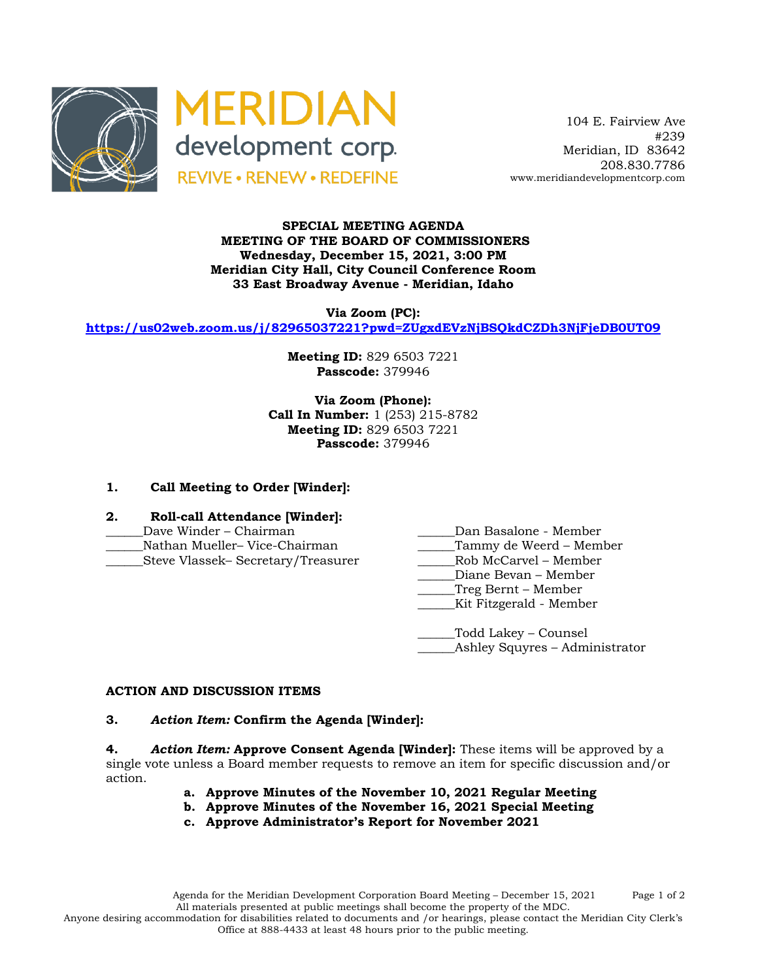



 104 E. Fairview Ave #239 Meridian, ID 83642 208.830.7786 www.meridiandevelopmentcorp.com

## **SPECIAL MEETING AGENDA MEETING OF THE BOARD OF COMMISSIONERS Wednesday, December 15, 2021, 3:00 PM Meridian City Hall, City Council Conference Room 33 East Broadway Avenue - Meridian, Idaho**

**Via Zoom (PC):**

**https://us02web.zoom.us/j/82965037221?pwd=ZUgxdEVzNjBSQkdCZDh3NjFjeDB0UT09**

**Meeting ID:** 829 6503 7221 **Passcode:** 379946

**Via Zoom (Phone): Call In Number:** 1 (253) 215-8782 **Meeting ID:** 829 6503 7221 **Passcode:** 379946

# **1. Call Meeting to Order [Winder]:**

### **2. Roll-call Attendance [Winder]:**

- 
- 
- Steve Vlassek– Secretary/Treasurer
- Dave Winder Chairman **Dan Basalone Member**
- \_\_\_\_\_\_Nathan Mueller– Vice-Chairman \_\_\_\_\_\_Tammy de Weerd Member
	-
	- \_\_\_\_\_\_Diane Bevan Member
	- \_\_\_\_\_\_Treg Bernt Member
	- \_\_\_\_\_\_Kit Fitzgerald Member

\_\_\_\_\_\_Todd Lakey – Counsel \_Ashley Squyres – Administrator

#### **ACTION AND DISCUSSION ITEMS**

## **3.** *Action Item:* **Confirm the Agenda [Winder]:**

**4.** *Action Item:* **Approve Consent Agenda [Winder]:** These items will be approved by a single vote unless a Board member requests to remove an item for specific discussion and/or action.

- **a. Approve Minutes of the November 10, 2021 Regular Meeting**
- **b. Approve Minutes of the November 16, 2021 Special Meeting**
- **c. Approve Administrator's Report for November 2021**